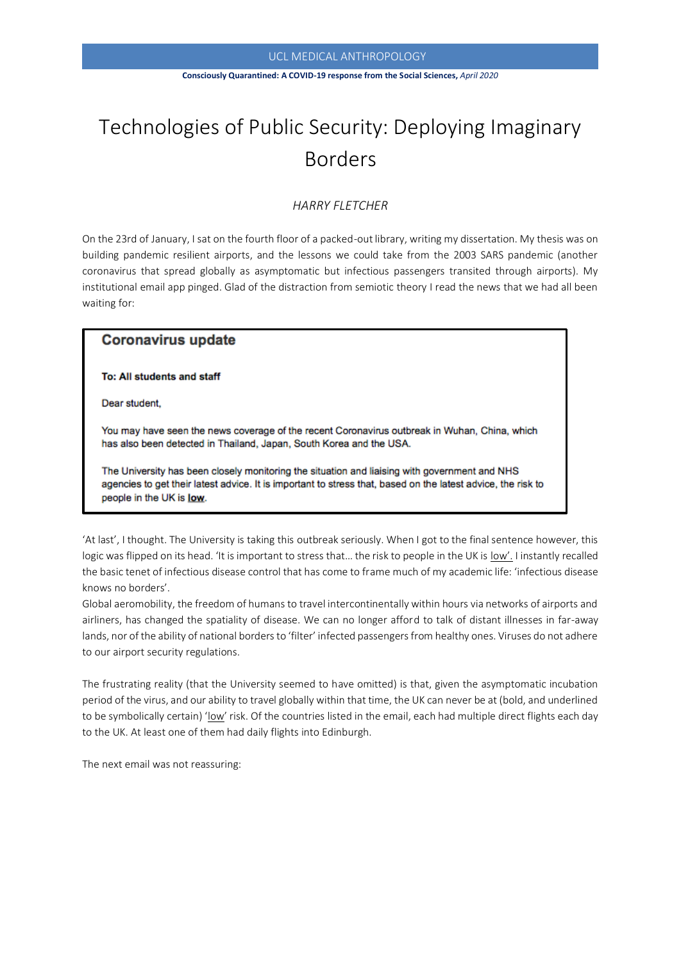### UCL MEDICAL ANTHROPOLOGY

#### **Consciously Quarantined: A COVID-19 response from the Social Sciences,** *April 2020*

# Technologies of Public Security: Deploying Imaginary Borders

# *HARRY FLETCHER*

On the 23rd of January, I sat on the fourth floor of a packed-out library, writing my dissertation. My thesis was on building pandemic resilient airports, and the lessons we could take from the 2003 SARS pandemic (another coronavirus that spread globally as asymptomatic but infectious passengers transited through airports). My institutional email app pinged. Glad of the distraction from semiotic theory I read the news that we had all been waiting for:

# **Coronavirus update**

To: All students and staff

Dear student,

You may have seen the news coverage of the recent Coronavirus outbreak in Wuhan, China, which has also been detected in Thailand, Japan, South Korea and the USA.

The University has been closely monitoring the situation and liaising with government and NHS agencies to get their latest advice. It is important to stress that, based on the latest advice, the risk to people in the UK is low.

'At last', I thought. The University is taking this outbreak seriously. When I got to the final sentence however, this logic was flipped on its head. 'It is important to stress that... the risk to people in the UK is low'. I instantly recalled the basic tenet of infectious disease control that has come to frame much of my academic life: 'infectious disease knows no borders'.

Global aeromobility, the freedom of humans to travel intercontinentally within hours via networks of airports and airliners, has changed the spatiality of disease. We can no longer afford to talk of distant illnesses in far-away lands, nor of the ability of national borders to 'filter' infected passengers from healthy ones. Viruses do not adhere to our airport security regulations.

The frustrating reality (that the University seemed to have omitted) is that, given the asymptomatic incubation period of the virus, and our ability to travel globally within that time, the UK can never be at (bold, and underlined to be symbolically certain) 'low' risk. Of the countries listed in the email, each had multiple direct flights each day to the UK. At least one of them had daily flights into Edinburgh.

The next email was not reassuring: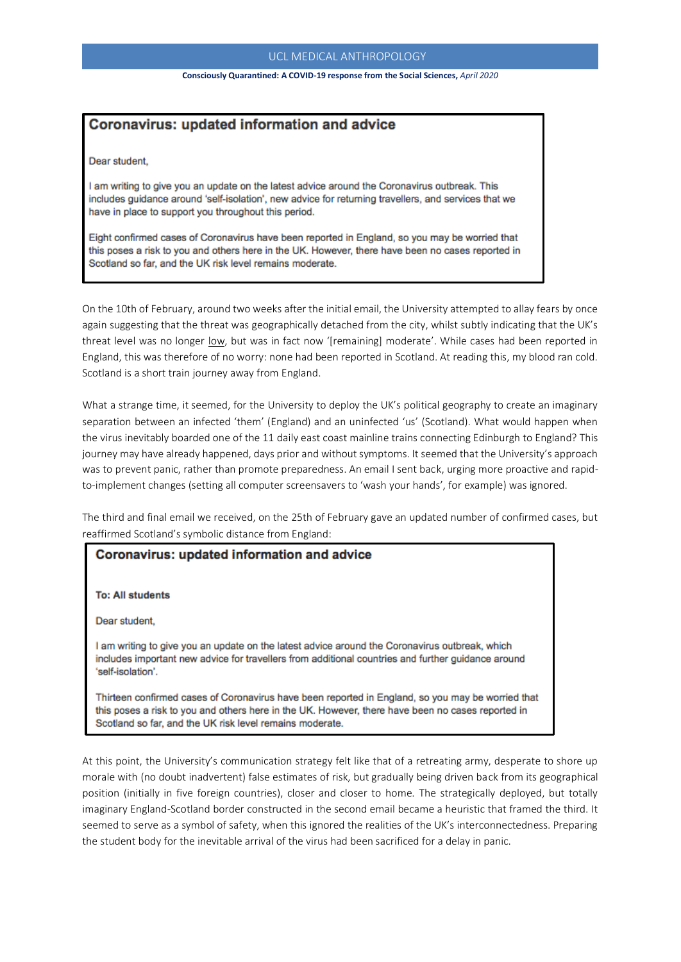## UCL MEDICAL ANTHROPOLOGY

#### **Consciously Quarantined: A COVID-19 response from the Social Sciences,** *April 2020*

# **Coronavirus: updated information and advice**

Dear student.

I am writing to give you an update on the latest advice around the Coronavirus outbreak. This includes guidance around 'self-isolation', new advice for returning travellers, and services that we have in place to support you throughout this period.

Eight confirmed cases of Coronavirus have been reported in England, so you may be worried that this poses a risk to you and others here in the UK. However, there have been no cases reported in Scotland so far, and the UK risk level remains moderate.

On the 10th of February, around two weeks after the initial email, the University attempted to allay fears by once again suggesting that the threat was geographically detached from the city, whilst subtly indicating that the UK's threat level was no longer low, but was in fact now '[remaining] moderate'. While cases had been reported in England, this was therefore of no worry: none had been reported in Scotland. At reading this, my blood ran cold. Scotland is a short train journey away from England.

 $\overline{a}$ 

What a strange time, it seemed, for the University to deploy the UK's political geography to create an imaginary separation between an infected 'them' (England) and an uninfected 'us' (Scotland). What would happen when the virus inevitably boarded one of the 11 daily east coast mainline trains connecting Edinburgh to England? This journey may have already happened, days prior and without symptoms. It seemed that the University's approach was to prevent panic, rather than promote preparedness. An email I sent back, urging more proactive and rapidto-implement changes (setting all computer screensavers to 'wash your hands', for example) was ignored.

The third and final email we received, on the 25th of February gave an updated number of confirmed cases, but reaffirmed Scotland's symbolic distance from England:

# **Coronavirus: updated information and advice**

**To: All students** 

Dear student,

I am writing to give you an update on the latest advice around the Coronavirus outbreak, which includes important new advice for travellers from additional countries and further guidance around 'self-isolation'.

Thirteen confirmed cases of Coronavirus have been reported in England, so you may be worried that this poses a risk to you and others here in the UK. However, there have been no cases reported in Scotland so far, and the UK risk level remains moderate.

At this point, the University's communication strategy felt like that of a retreating army, desperate to shore up morale with (no doubt inadvertent) false estimates of risk, but gradually being driven back from its geographical position (initially in five foreign countries), closer and closer to home. The strategically deployed, but totally imaginary England-Scotland border constructed in the second email became a heuristic that framed the third. It seemed to serve as a symbol of safety, when this ignored the realities of the UK's interconnectedness. Preparing the student body for the inevitable arrival of the virus had been sacrificed for a delay in panic.